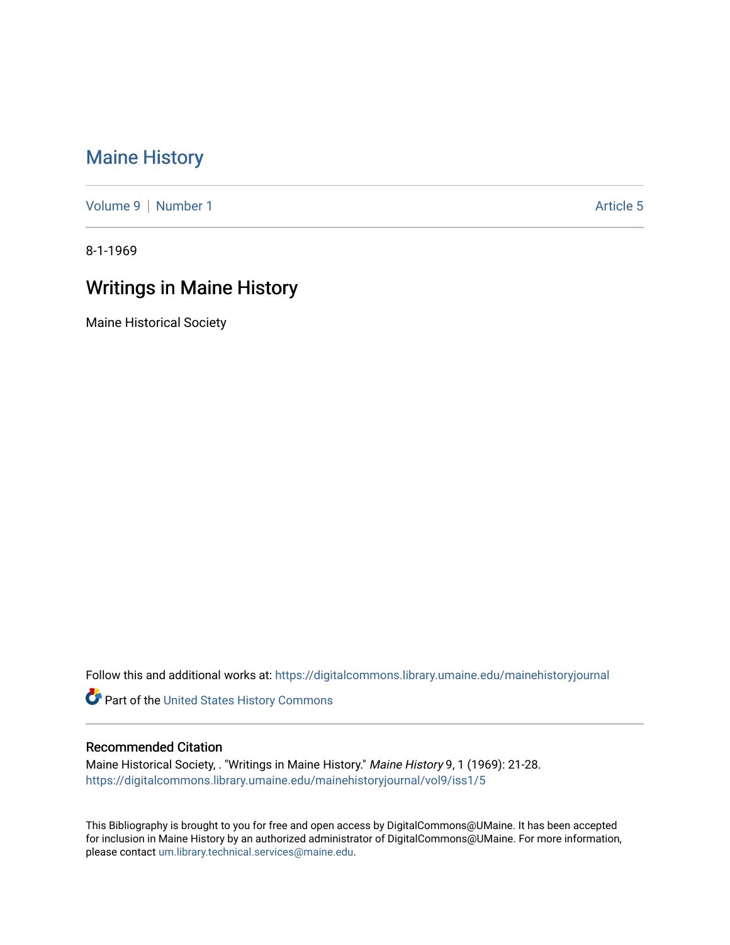## [Maine History](https://digitalcommons.library.umaine.edu/mainehistoryjournal)

[Volume 9](https://digitalcommons.library.umaine.edu/mainehistoryjournal/vol9) | [Number 1](https://digitalcommons.library.umaine.edu/mainehistoryjournal/vol9/iss1) Article 5

8-1-1969

## Writings in Maine History

Maine Historical Society

Follow this and additional works at: [https://digitalcommons.library.umaine.edu/mainehistoryjournal](https://digitalcommons.library.umaine.edu/mainehistoryjournal?utm_source=digitalcommons.library.umaine.edu%2Fmainehistoryjournal%2Fvol9%2Fiss1%2F5&utm_medium=PDF&utm_campaign=PDFCoverPages) 

Part of the [United States History Commons](http://network.bepress.com/hgg/discipline/495?utm_source=digitalcommons.library.umaine.edu%2Fmainehistoryjournal%2Fvol9%2Fiss1%2F5&utm_medium=PDF&utm_campaign=PDFCoverPages) 

## Recommended Citation

Maine Historical Society, . "Writings in Maine History." Maine History 9, 1 (1969): 21-28. [https://digitalcommons.library.umaine.edu/mainehistoryjournal/vol9/iss1/5](https://digitalcommons.library.umaine.edu/mainehistoryjournal/vol9/iss1/5?utm_source=digitalcommons.library.umaine.edu%2Fmainehistoryjournal%2Fvol9%2Fiss1%2F5&utm_medium=PDF&utm_campaign=PDFCoverPages)

This Bibliography is brought to you for free and open access by DigitalCommons@UMaine. It has been accepted for inclusion in Maine History by an authorized administrator of DigitalCommons@UMaine. For more information, please contact [um.library.technical.services@maine.edu.](mailto:um.library.technical.services@maine.edu)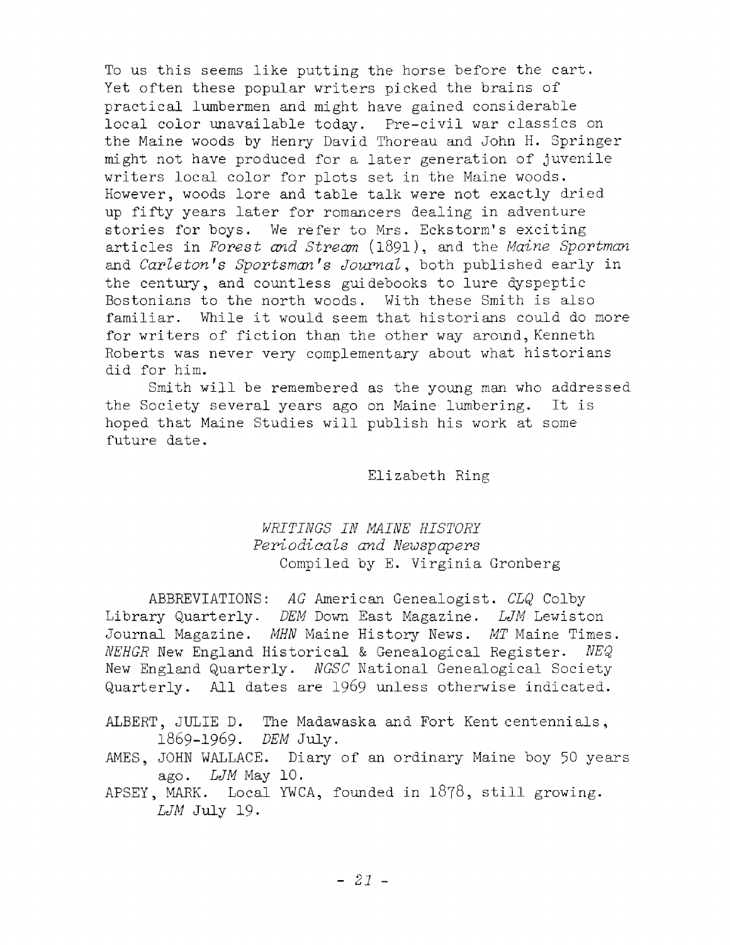To us this seems like putting the horse before the cart. Yet often these popular writers picked the brains of practical lumbermen and might have gained considerable local color unavailable today. Pre-civil war classics on the Maine woods by Henry David Thoreau and John H. Springer might not have produced for a later generation of juvenile writers local color for plots set in the Maine woods. However, woods lore and table talk were not exactly dried up fifty years later for romancers dealing in adventure stories for boys. We refer to Mrs. Eckstorm's exciting a rticles in *Forest and Stream* ( 1891), and the *Maine Sportman* and *Carleton's Sportsman's Journal*, both published early in the century, and countless guidebooks to lure dyspeptic Bostonians to the north woods. With these Smith is also familiar. While it would seem that historians could do more for writers of fiction than the other way around, Kenneth Roberts was never very complementary about what historians did for him.

Smith will be remembered as the young man who addressed the Society several years ago on Maine lumbering. It is hoped that Maine Studies will publish his work at some future date.

Elizabeth Ring

## *WRITINGS IN MAINE HISTORY* Periodicals and Newspapers Compiled by E. Virginia Gronberg

ABBREVIATIONS: *AG* American Genealogist. *CLQ* Colby Library Quarterly. *DEM* Down East Magazine. *LJM* Lewiston Journal Magazine. *MHN* Maine History News. *MT* Maine Times. *NEHGR* New England Historical & Genealogical Register. *NEQ* New England Quarterly. *NGSC* National Genealogical Society Quarterly. All dates are 1969 unless otherwise indicated.

ALBERT, JULIE D. The Madawaska and Fort Kent centennials, 1869-1969. *DEM* July.

- AMES, JOHN WALLACE. Diary of an ordinary Maine boy 50 years ago. *LJM* May 10.
- APSEY, MARK. Local YWCA, founded in  $1878$ , still growing. *LJM* July 19.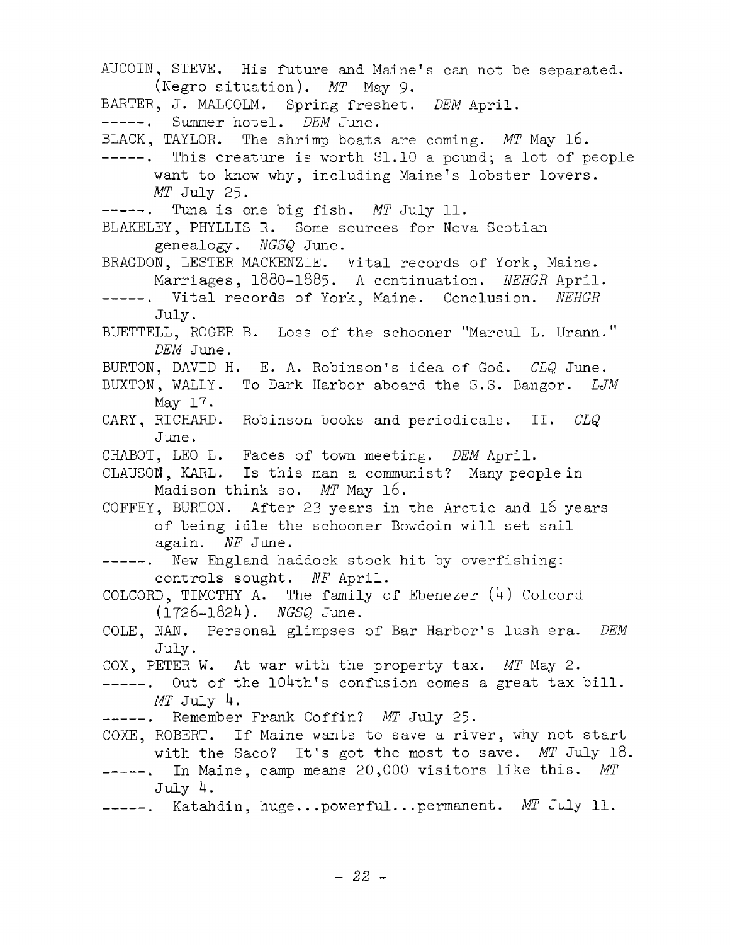AUCOIN, STEVE. His future and Maine's can not be separated. (Negro situation). *MT* May 9. BARTER, J. MALCOLM. Spring freshet. *DEM* April. -----. Summer hotel. *DEM* June. BLACK, TAYLOR. The shrimp boats are coming. *MT* May 16.  $---$ . This creature is worth \$1.10 a pound; a lot of people want to know why, including Maine's lobster lovers. *MT* July 25. -----. Tuna is one big fish. MT July 11. BLAKELEY, PHYLLIS R. Some sources for Nova Scotian genealogy. *NGSQ* June. BRAGDON, LESTER MACKENZIE. Vital records of York, Maine. Marriages, 1880-1885. A continuation. *NEHGR* April. -----. Vital records of York, Maine. Conclusion. *NEHGR* July. BUETTELL, ROGER B. Loss of the schooner "Marcul L. Urann." *DEM* June. BURTON, DAVID H. E. A. Robinson's idea of God. *CLQ* June. BUXTON, WALLY. To Dark Harbor aboard the S.S. Bangor. *LJM* May 17. CARY, RICHARD. Robinson books and periodicals. II. *CLQ* June. CHABOT, LEO L. Faces of town meeting. *DEM* April. CLAUSON, KARL. Is this man a communist? Many people in Madison think so. MT May 16. COFFEY, BURTON. After 23 years in the Arctic and  $16$  years of being idle the schooner Bowdoin will set sail again. *NF* June. -----. New England haddock stock hit by overfishing: controls sought. NF April. COLCORD, TIMOTHY A. The family of Ebenezer  $(4)$  Colcord (1726-1821+). *NGSQ* June. COLE. NAN. Personal glimpses of Bar Harbor's lush era. *DEM* July. COX, PETER W. At war with the property tax. *MT* May 2.  $---$ . Out of the 104th's confusion comes a great tax bill. *MT* July *k.* ------- . Remember Frank Coffin? *MT* July 25. COXE, ROBERT. If Maine wants to save a river, why not start with the Saco? It's got the most to save. MT July 18. -----. In Maine, camp means 20,000 visitors like this. MT July *k.* -----. Katahdin, huge...powerful...permanent. *MT* July 11.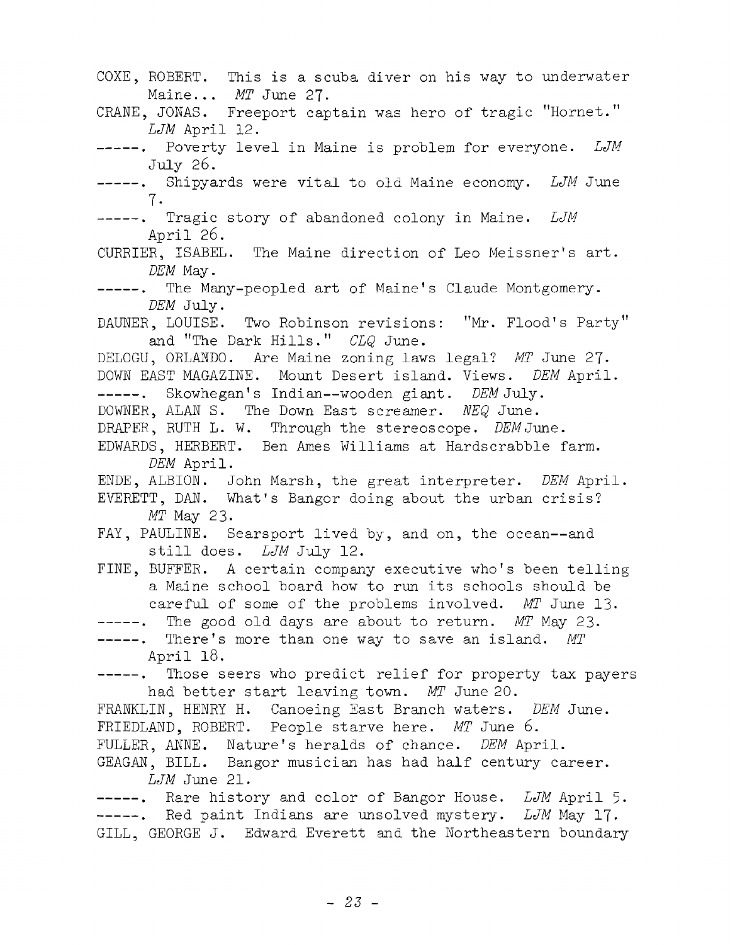COXE, ROBERT. This is a scuba diver on his way to underwater Maine... *MT* June 27. CRANE, JONAS. Freeport captain was hero of tragic "Hornet." *LJM* April 12. -----. Poverty level in Maine is problem for everyone. LJM July 26. -----. Shipyards were vital to old Maine economy. LJM June 7 . -----. Tragic story of abandoned colony in Maine. *LJM* April 26. CURRIER, ISABEL. The Maine direction of Leo Meissner's art. *DEM* May. -----. The Many-peopled art of Maine's Claude Montgomery. *DEM* July. DAUNER, LOUISE. Two Robinson revisions: "Mr. Flood's Party" and "The Dark Hills." *CLQ* June. DELOGU, ORLANDO, Are Maine zoning laws legal? *MT* June 27- DOWN EAST MAGAZINE. Mount Desert island. Views. *DEM* April. Skowhegan's Indian—wooden giant. *DEM* July. DOWNER, ALAN S. The Down East screamer. *NEQ* June. DRAPER, RUTH L. W. Through the stereoscope. *DEM June.* EDWARDS, HERBERT. Ben Ames Williams at Hardscrabble farm. *DEM* April. ENDE, ALBION. John Marsh, the great interpreter. *DEM* April. EVERETT, DAN. What's Bangor doing about the urban crisis? *MT* May 23. FAY, PAULINE. Searsport lived by, and on, the ocean--and still does. *LJM* July 12. FINE, BUFFER. A certain company executive who's been telling a Maine school board how to run its schools should be careful of some of the problems involved. MT June 13. -----. The good old days are about to return. *MT* May 23. -----. There's more than one way to save an island. MT April 18. -----. Those seers who predict relief for property tax payers had better start leaving town. MT June 20. FRANKLIN, HENRY H. Canoeing East Branch waters. *DEM* June. FRIEDLAND, ROBERT. People starve here. *MT* June 6. FULLER, ANNE. Nature's heralds of chance. *DEM* April. GEAGAN, BILL. Bangor musician has had half century career. *LJM* June 21. -----. Rare history and color of Bangor House. *LJM* April 5. -----. Red paint Indians are unsolved mystery. *LJM* May 17. GILL, GEORGE J. Edward Everett and the Northeastern boundary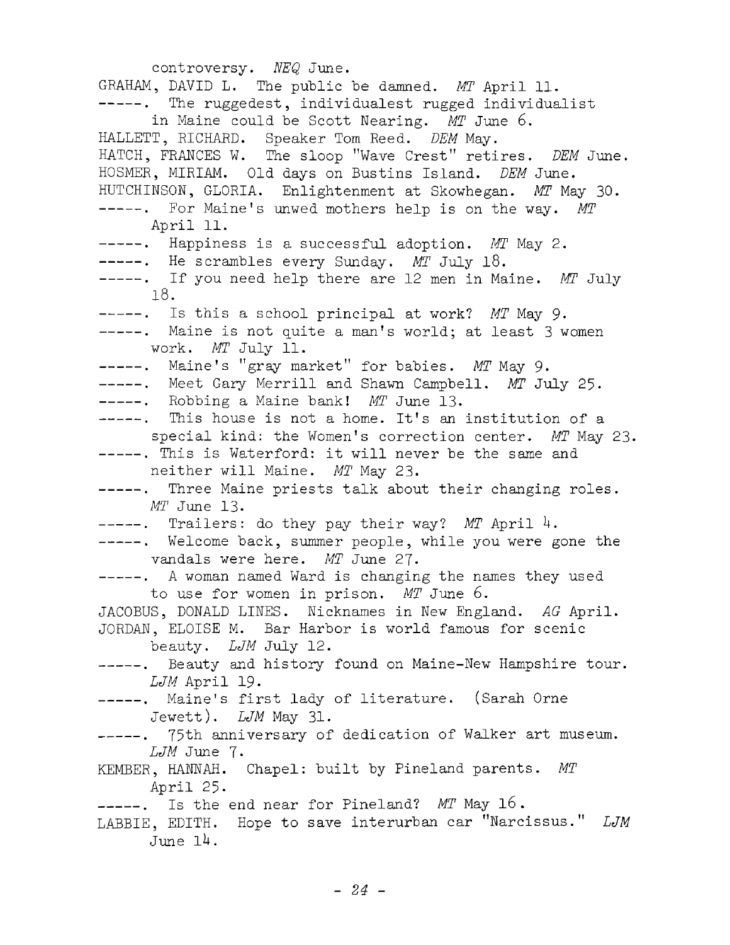controversy. *NEQ* June. GRAHAM, DAVID L. The public be damned. *MT* April 11. -----. The ruggedest, individualest rugged individualist in Maine could be Scott Nearing. *MT* June 6. HALLETT, RICHARD. Speaker Tom Reed. *DEM* May. HATCH, FRANCES W. The sloop "Wave Crest" retires. *DEM* June. HOSMER, MIRIAM. Old days on Bustins Island. *DEM* June. HUTCHINSON, GLORIA. Enlightenment at Skowhegan. *MT* May 30. For Maine! s unwed mothers help is on the way. *MT* April 11. -----. Happiness is a successful adoption. *MT* May 2. -----. He scrambles every Sunday. MT July 18. -----. If you need help there are 12 men in Maine. *MT* July 18. -----. Is this a school principal at work? *MT* May 9. -----. Maine is not quite a man's world; at least 3 women work. *MT* July 11. -----. Maine's "gray market" for babies. *MT* May 9. -----. Meet Gary Merrill and Shawn Campbell. MT July 25. -----. Robbing a Maine bank! *MT* June 13. -----. This house is not a home. It's an institution of a special kind: the Women's correction center. *MT* May 23. -----. This is Waterford: it will never be the same and neither will Maine. *MT* May 23. -----. Three Maine priests talk about their changing roles. *MT* June 13. -----. Trailers: do they pay their way? MT April 4. -----. Welcome back, summer people, while you were gone the vandals were here. *MT* June 27. ------- . A woman named Ward is changing the names they used to use for women in prison. MT June 6. JACOBUS, DONALD LINES. Nicknames in New England. AG April. JORDAN, ELOISE M. Bar Harbor is world famous for scenic beauty. *LJM* July 12. -----. Beauty and history found on Maine-New Hampshire tour. *LJM* April 19. -----. Maine's first lady of literature. (Sarah Orne Jewett). *LJM* May 31. -----. 75th anniversary of dedication of Walker art museum. *LJM* June 7. KEMBER, HANNAH. Chapel: built by Pineland parents. MT April 25. -----. Is the end near for Pineland? MT May 16. LABBIE, EDITH. Hope to save interurban car "Narcissus." *LJM* June *ik .*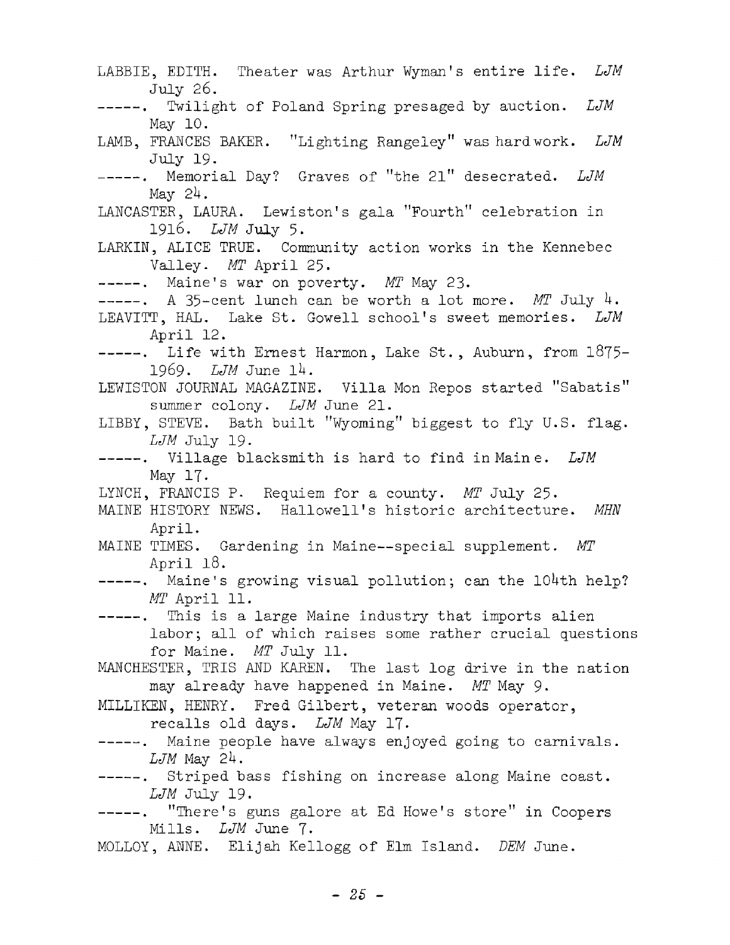LABBIE, EDITH. Theater was Arthur Wyman's entire life. LJM July 26. -----. Twilight of Poland Spring presaged by auction. LJM May 10. LAMB, FRANCES BAKER. "Lighting Rangeley" was hard work. *LJM* July 19. -----. Memorial Day? Graves of "the 21" desecrated. LJM May *2k.* LANCASTER, LAURA. Lewiston's gala "Fourth" celebration in 1916. *LJM* July 5. LARKIN, ALICE TRUE. Community action works in the Kennebec Valley. *MT* April 25. -----. Maine's war on poverty. MT May 23.  $---$ . A 35-cent lunch can be worth a lot more. *MT* July 4. LEAVITT, HAL. Lake St. Gowell school's sweet memories. *LJM* April 12.  $---$ . Life with Ernest Harmon, Lake St., Auburn, from  $1875-$ 1969. *LJM* June *lk .* LEWISTON JOURNAL MAGAZINE. Villa Mon Repos started "Sabatis" summer colony. *LJM* June 21. LIBBY, STEVE. Bath built "Wyoming" biggest to fly U.S. flag. *LJM* July 19- -----. Village blacksmith is hard to find in Maine. LJM May 17. LYNCH, FRANCIS P. Requiem for a county. *MT* July 25. MAINE HISTORY NEWS. Hallowell's historic architecture. MHN April. MAINE TIMES. Gardening in Maine— special supplement. *MT* April 18. -----. Maine's growing visual pollution; can the 104th help? *MT* April 11. -----. This is a large Maine industry that imports alien labor; all of which raises some rather crucial questions for Maine. *MT* July 11. MANCHESTER, TRIS AND KAREN. The last log drive in the nation may already have happened in Maine. MT May 9. MILLIKEN, HENRY. Fred Gilbert, veteran woods operator, recalls old days. *LJM* May 17. -----. Maine people have always enjoyed going to carnivals. *LJM* May *2k.* -----. Striped bass fishing on increase along Maine coast. *LJM* July 19. -----. "There's guns galore at Ed Howe's store" in Coopers Mills. *LJM* June 7. MOLLOY, ANNE. Elijah Kellogg of Elm Island. *DEM* June.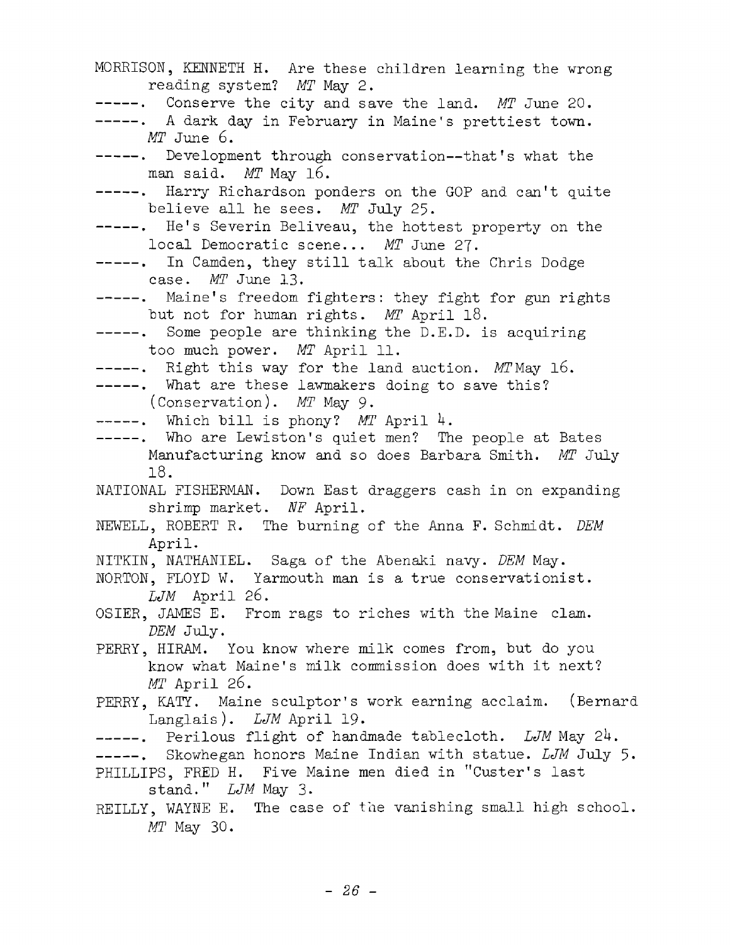| MORRISON, KENNETH H. Are these children learning the wrong<br>reading system? MT May 2.                                              |
|--------------------------------------------------------------------------------------------------------------------------------------|
| -----. Conserve the city and save the land. MT June 20.<br>-----. A dark day in February in Maine's prettiest town.                  |
| MT June 6.                                                                                                                           |
| -----. Development through conservation--that's what the<br>man said. MT May 16.                                                     |
| -----. Harry Richardson ponders on the GOP and can't quite<br>believe all he sees. MT July 25.                                       |
| -----. He's Severin Beliveau, the hottest property on the<br>local Democratic scene MT June 27.                                      |
| -----. In Camden, they still talk about the Chris Dodge<br>case. $MT$ June 13.                                                       |
| -----. Maine's freedom fighters: they fight for gun rights<br>but not for human rights. MT April 18.                                 |
| -----. Some people are thinking the D.E.D. is acquiring<br>too much power. MT April 11.                                              |
| -----. Right this way for the land auction. MTMay 16.                                                                                |
| -----. What are these lawmakers doing to save this?<br>(Conservation). MT May 9.                                                     |
| -----. Which bill is phony? MT April 4.                                                                                              |
| -----. Who are Lewiston's quiet men? The people at Bates                                                                             |
| Manufacturing know and so does Barbara Smith. MT July                                                                                |
| 18.                                                                                                                                  |
| NATIONAL FISHERMAN. Down East draggers cash in on expanding<br>shrimp market. NF April.                                              |
| NEWELL, ROBERT R. The burning of the Anna F. Schmidt. DEM                                                                            |
| April.                                                                                                                               |
| NITKIN, NATHANIEL. Saga of the Abenaki navy. DEM May.<br>NORTON, FLOYD W. Yarmouth man is a true conservationist.<br>$LJM$ April 26. |
| OSIER, JAMES E. From rags to riches with the Maine clam.                                                                             |
| DEM July.                                                                                                                            |
| PERRY, HIRAM. You know where milk comes from, but do you                                                                             |
| know what Maine's milk commission does with it next?<br>$MT$ April 26.                                                               |
| PERRY, KATY. Maine sculptor's work earning acclaim. (Bernard<br>Langlais). LJM April 19.                                             |
| -----. Perilous flight of handmade tablecloth. LJM May 24.                                                                           |
| -----. Skowhegan honors Maine Indian with statue. LJM July 5.<br>PHILLIPS, FRED H. Five Maine men died in "Custer's last             |
| stand." LJM May 3.                                                                                                                   |
| REILLY, WAYNE E. The case of the vanishing small high school.<br>$MT$ May 30.                                                        |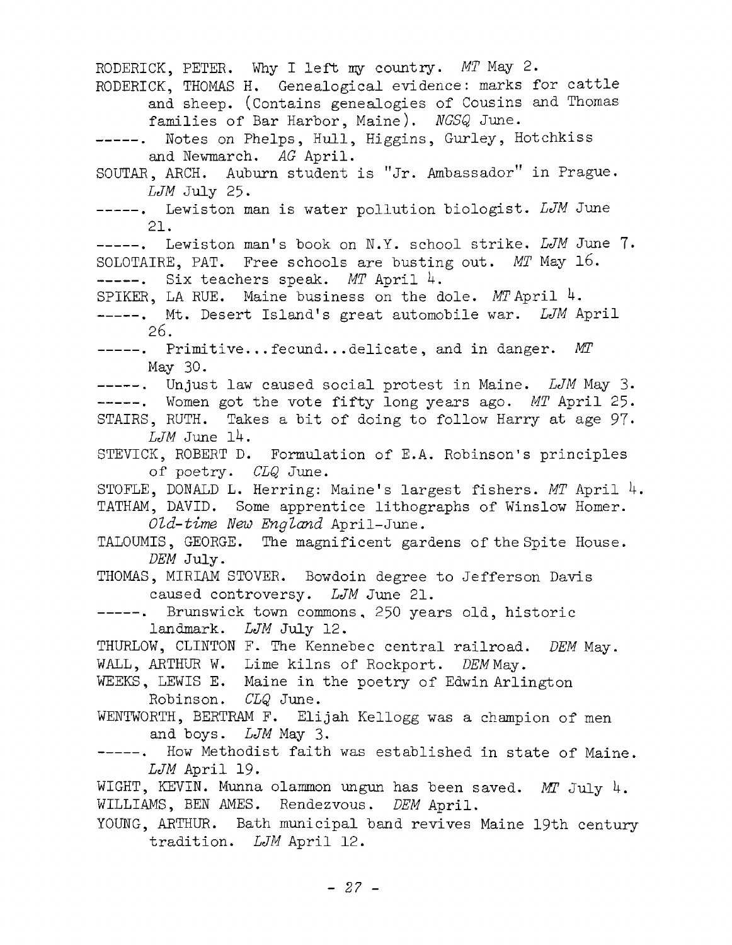RODERICK, PETER. Why I left my country. *MT* May 2. RODERICK, THOMAS H. Genealogical evidence: marks for cattle and sheep. (Contains genealogies of Cousins and Thomas families of Bar Harbor, Maine). *NGSQ* June. -----. Notes on Phelps, Hull, Higgins, Gurley, Hotchkiss and Newmarch. AG April. SOUTAR, ARCH. Auburn student is "Jr. Ambassador" in Prague. *LJM* July 25. -----. Lewiston man is water pollution biologist. LJM June 21. -----. Lewiston man's book on N.Y. school strike. LJM June 7. SOLOTAIRE, PAT. Free schools are busting out. *MT* May 16. -----. Six teachers speak. *MT* April 4. SPIKER, LA RUE. Maine business on the dole.  $MT$  April  $4$ . -----. Mt. Desert Island's great automobile war. *LJM* April 26. -----. Primitive...fecund...delicate, and in danger. MT May 30. -----. Unjust law caused social protest in Maine. *LJM* May 3. -----. Women got the vote fifty long years ago. MT April 25. STAIRS, RUTH. Takes a bit of doing to follow Harry at age 97. *LJM* June *ik .* STEVICK, ROBERT D. Formulation of E.A. Robinson's principles o f poetry. *CLQ* June. STOFLE, DONALD L. Herring: Maine's largest fishers. *MT* April 4. TATHAM, DAVID. Some apprentice lithographs of Winslow Homer. *Old-time New England* April-June. TALOUMIS, GEORGE. The magnificent gardens of the Spite House. *DEM* July. THOMAS, MIRIAM STOVER. Bowdoin degree to Jefferson Davis caused controversy. *LJM* June 21. -----. Brunswick town commons, 250 years old, historic landmark. *LJM* July 12. THURLOW, CLINTON F. The Kennebec central railroad. *DEM* Mav. WALL, ARTHUR W. Lime kilns of Rockport. DEM May. WEEKS, LEWIS E. Maine in the poetry of Edwin Arlington Robinson. *CLQ* June. WENTWORTH, BERTRAM F. Elijah Kellogg was a champion of men and boys. *LJM* May 3. -----. How Methodist faith was established in state of Maine. *LJM* April 19. WIGHT, KEVIN. Munna olammon ungun has been saved. MT July 4. WILLIAMS, BEN AMES. Rendezvous. DEM April. YOUNG, ARTHUR. Bath municipal band revives Maine 19th century tradition. *LJM* April 12.